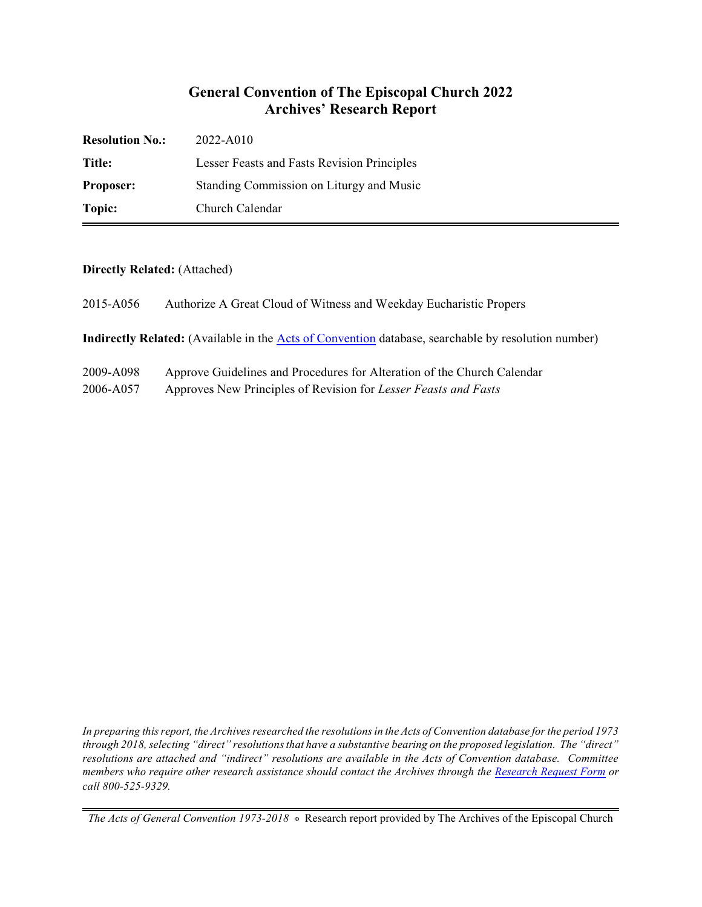# **General Convention of The Episcopal Church 2022 Archives' Research Report**

| <b>Resolution No.:</b> | 2022-A010                                   |
|------------------------|---------------------------------------------|
| Title:                 | Lesser Feasts and Fasts Revision Principles |
| <b>Proposer:</b>       | Standing Commission on Liturgy and Music    |
| Topic:                 | Church Calendar                             |

### **Directly Related:** (Attached)

| 2015-A056 | Authorize A Great Cloud of Witness and Weekday Eucharistic Propers |
|-----------|--------------------------------------------------------------------|
|           |                                                                    |

**Indirectly Related:** (Available in the [Acts of Convention](https://www.episcopalarchives.org/e-archives/acts/) database, searchable by resolution number)

| 2009-A098 | Approve Guidelines and Procedures for Alteration of the Church Calendar |
|-----------|-------------------------------------------------------------------------|
|           |                                                                         |

2006-A057 Approves New Principles of Revision for *Lesser Feasts and Fasts*

*In preparing this report, the Archives researched the resolutions in the Acts of Convention database for the period 1973 through 2018, selecting "direct" resolutions that have a substantive bearing on the proposed legislation. The "direct" resolutions are attached and "indirect" resolutions are available in the Acts of Convention database. Committee members who require other research assistance should contact the Archives through the Research [Request Form](https://www.episcopalarchives.org/contact/research-request-form) or call 800-525-9329.*

*The Acts of General Convention 1973-2018*  $*$  Research report provided by The Archives of the Episcopal Church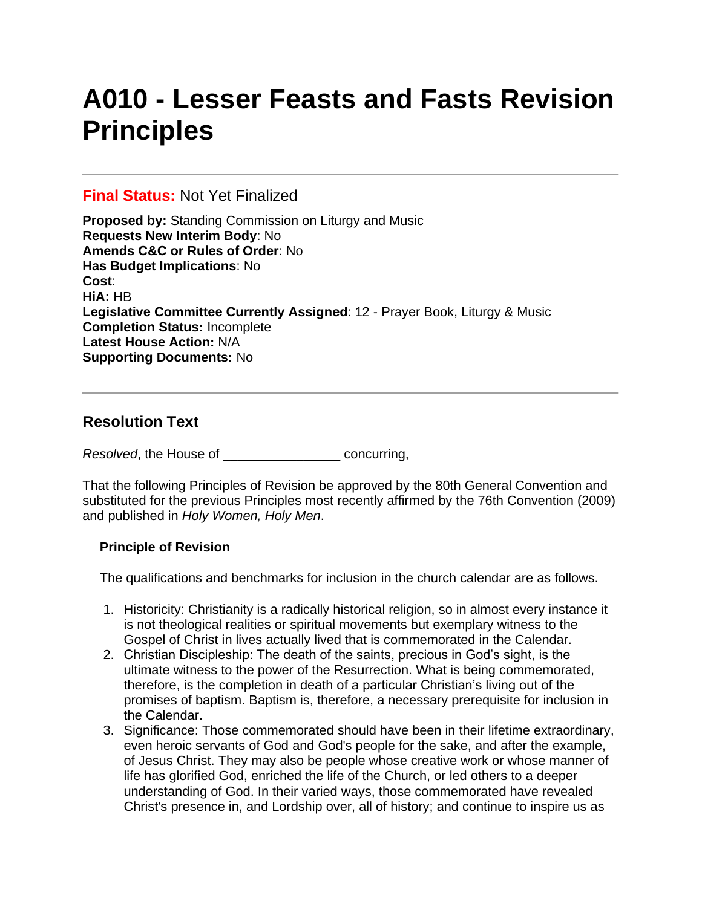# **A010 - Lesser Feasts and Fasts Revision Principles**

## **Final Status:** Not Yet Finalized

**Proposed by:** Standing Commission on Liturgy and Music **Requests New Interim Body**: No **Amends C&C or Rules of Order**: No **Has Budget Implications**: No **Cost**: **HiA:** HB **Legislative Committee Currently Assigned**: 12 - Prayer Book, Liturgy & Music **Completion Status:** Incomplete **Latest House Action:** N/A **Supporting Documents:** No

# **Resolution Text**

*Resolved*, the House of \_\_\_\_\_\_\_\_\_\_\_\_\_\_\_\_ concurring,

That the following Principles of Revision be approved by the 80th General Convention and substituted for the previous Principles most recently affirmed by the 76th Convention (2009) and published in *Holy Women, Holy Men*.

### **Principle of Revision**

The qualifications and benchmarks for inclusion in the church calendar are as follows.

- 1. Historicity: Christianity is a radically historical religion, so in almost every instance it is not theological realities or spiritual movements but exemplary witness to the Gospel of Christ in lives actually lived that is commemorated in the Calendar.
- 2. Christian Discipleship: The death of the saints, precious in God's sight, is the ultimate witness to the power of the Resurrection. What is being commemorated, therefore, is the completion in death of a particular Christian's living out of the promises of baptism. Baptism is, therefore, a necessary prerequisite for inclusion in the Calendar.
- 3. Significance: Those commemorated should have been in their lifetime extraordinary, even heroic servants of God and God's people for the sake, and after the example, of Jesus Christ. They may also be people whose creative work or whose manner of life has glorified God, enriched the life of the Church, or led others to a deeper understanding of God. In their varied ways, those commemorated have revealed Christ's presence in, and Lordship over, all of history; and continue to inspire us as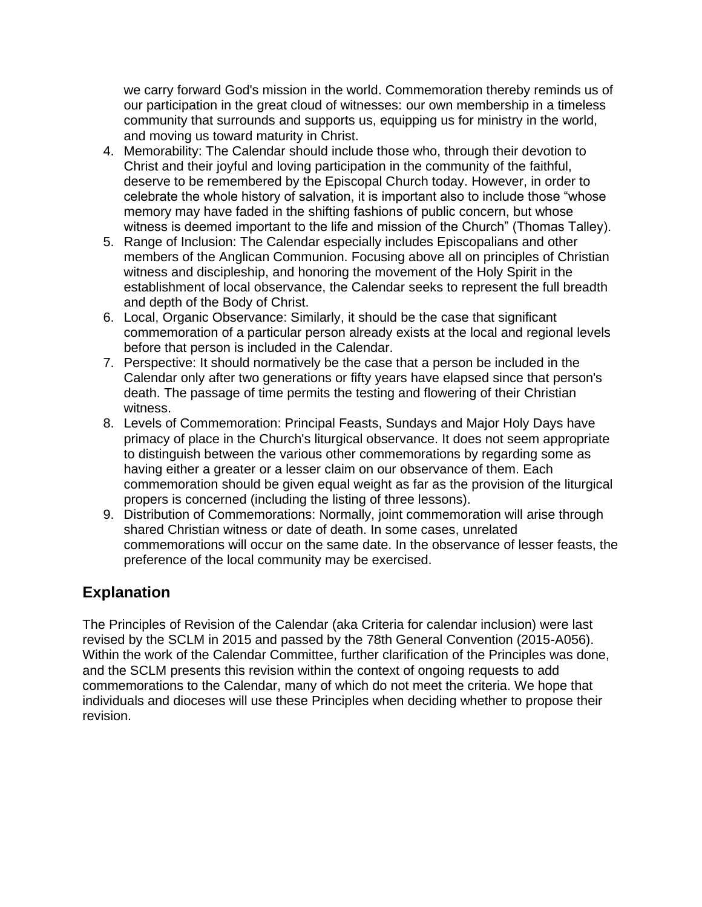we carry forward God's mission in the world. Commemoration thereby reminds us of our participation in the great cloud of witnesses: our own membership in a timeless community that surrounds and supports us, equipping us for ministry in the world, and moving us toward maturity in Christ.

- 4. Memorability: The Calendar should include those who, through their devotion to Christ and their joyful and loving participation in the community of the faithful, deserve to be remembered by the Episcopal Church today. However, in order to celebrate the whole history of salvation, it is important also to include those "whose memory may have faded in the shifting fashions of public concern, but whose witness is deemed important to the life and mission of the Church" (Thomas Talley).
- 5. Range of Inclusion: The Calendar especially includes Episcopalians and other members of the Anglican Communion. Focusing above all on principles of Christian witness and discipleship, and honoring the movement of the Holy Spirit in the establishment of local observance, the Calendar seeks to represent the full breadth and depth of the Body of Christ.
- 6. Local, Organic Observance: Similarly, it should be the case that significant commemoration of a particular person already exists at the local and regional levels before that person is included in the Calendar.
- 7. Perspective: It should normatively be the case that a person be included in the Calendar only after two generations or fifty years have elapsed since that person's death. The passage of time permits the testing and flowering of their Christian witness.
- 8. Levels of Commemoration: Principal Feasts, Sundays and Major Holy Days have primacy of place in the Church's liturgical observance. It does not seem appropriate to distinguish between the various other commemorations by regarding some as having either a greater or a lesser claim on our observance of them. Each commemoration should be given equal weight as far as the provision of the liturgical propers is concerned (including the listing of three lessons).
- 9. Distribution of Commemorations: Normally, joint commemoration will arise through shared Christian witness or date of death. In some cases, unrelated commemorations will occur on the same date. In the observance of lesser feasts, the preference of the local community may be exercised.

# **Explanation**

The Principles of Revision of the Calendar (aka Criteria for calendar inclusion) were last revised by the SCLM in 2015 and passed by the 78th General Convention (2015-A056). Within the work of the Calendar Committee, further clarification of the Principles was done, and the SCLM presents this revision within the context of ongoing requests to add commemorations to the Calendar, many of which do not meet the criteria. We hope that individuals and dioceses will use these Principles when deciding whether to propose their revision.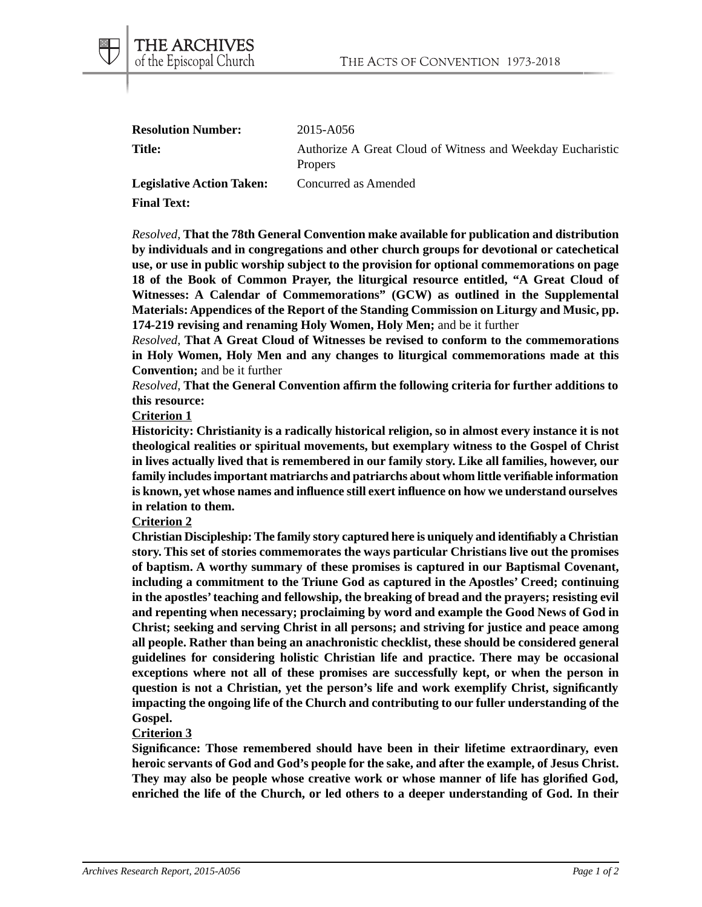| <b>Resolution Number:</b>        | 2015-A056                                                                    |
|----------------------------------|------------------------------------------------------------------------------|
| <b>Title:</b>                    | Authorize A Great Cloud of Witness and Weekday Eucharistic<br><b>Propers</b> |
| <b>Legislative Action Taken:</b> | Concurred as Amended                                                         |

**Final Text:**

THE ARCHIVES of the Episcopal Church

*Resolved*, **That the 78th General Convention make available for publication and distribution by individuals and in congregations and other church groups for devotional or catechetical use, or use in public worship subject to the provision for optional commemorations on page 18 of the Book of Common Prayer, the liturgical resource entitled, "A Great Cloud of Witnesses: A Calendar of Commemorations" (GCW) as outlined in the Supplemental Materials: Appendices of the Report of the Standing Commission on Liturgy and Music, pp. 174-219 revising and renaming Holy Women, Holy Men;** and be it further

*Resolved*, **That A Great Cloud of Witnesses be revised to conform to the commemorations in Holy Women, Holy Men and any changes to liturgical commemorations made at this Convention;** and be it further

*Resolved*, **That the General Convention affirm the following criteria for further additions to this resource:**

### **Criterion 1**

**Historicity: Christianity is a radically historical religion, so in almost every instance it is not theological realities or spiritual movements, but exemplary witness to the Gospel of Christ in lives actually lived that is remembered in our family story. Like all families, however, our family includes important matriarchs and patriarchs about whom little verifiable information is known, yet whose names and influence still exert influence on how we understand ourselves in relation to them.**

### **Criterion 2**

**Christian Discipleship: The family story captured here is uniquely and identifiably a Christian story. This set of stories commemorates the ways particular Christians live out the promises of baptism. A worthy summary of these promises is captured in our Baptismal Covenant, including a commitment to the Triune God as captured in the Apostles' Creed; continuing in the apostles' teaching and fellowship, the breaking of bread and the prayers; resisting evil and repenting when necessary; proclaiming by word and example the Good News of God in Christ; seeking and serving Christ in all persons; and striving for justice and peace among all people. Rather than being an anachronistic checklist, these should be considered general guidelines for considering holistic Christian life and practice. There may be occasional exceptions where not all of these promises are successfully kept, or when the person in question is not a Christian, yet the person's life and work exemplify Christ, significantly impacting the ongoing life of the Church and contributing to our fuller understanding of the Gospel.**

#### **Criterion 3**

**Significance: Those remembered should have been in their lifetime extraordinary, even heroic servants of God and God's people for the sake, and after the example, of Jesus Christ. They may also be people whose creative work or whose manner of life has glorified God, enriched the life of the Church, or led others to a deeper understanding of God. In their**